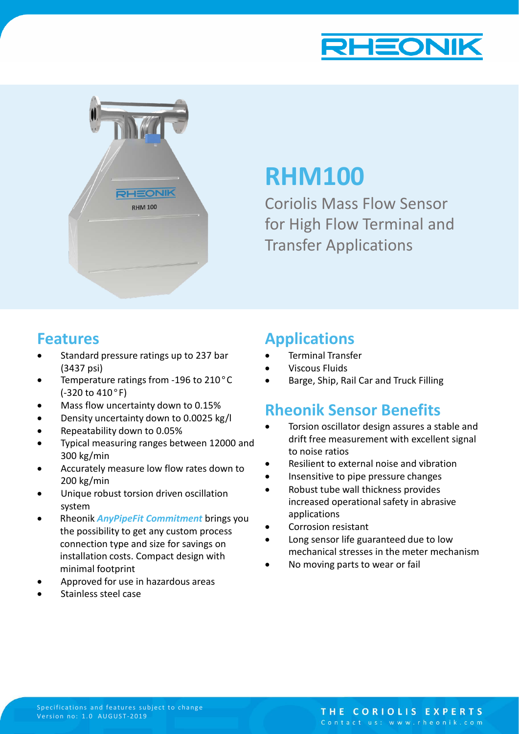



# **RHM100**

Coriolis Mass Flow Sensor for High Flow Terminal and Transfer Applications

### **Features**

- Standard pressure ratings up to 237 bar (3437 psi)
- Temperature ratings from -196 to 210°C (-320 to 410°F)
- Mass flow uncertainty down to 0.15%
- Density uncertainty down to 0.0025 kg/l
- Repeatability down to 0.05%
- Typical measuring ranges between 12000 and 300 kg/min
- Accurately measure low flow rates down to 200 kg/min
- Unique robust torsion driven oscillation system
- Rheonik *AnyPipeFit Commitment* brings you the possibility to get any custom process connection type and size for savings on installation costs. Compact design with minimal footprint
- Approved for use in hazardous areas
- Stainless steel case

### **Applications**

- Terminal Transfer
- Viscous Fluids
- Barge, Ship, Rail Car and Truck Filling

## **Rheonik Sensor Benefits**

- Torsion oscillator design assures a stable and drift free measurement with excellent signal to noise ratios
- Resilient to external noise and vibration
- Insensitive to pipe pressure changes
- Robust tube wall thickness provides increased operational safety in abrasive applications
- Corrosion resistant
- Long sensor life guaranteed due to low mechanical stresses in the meter mechanism
- No moving parts to wear or fail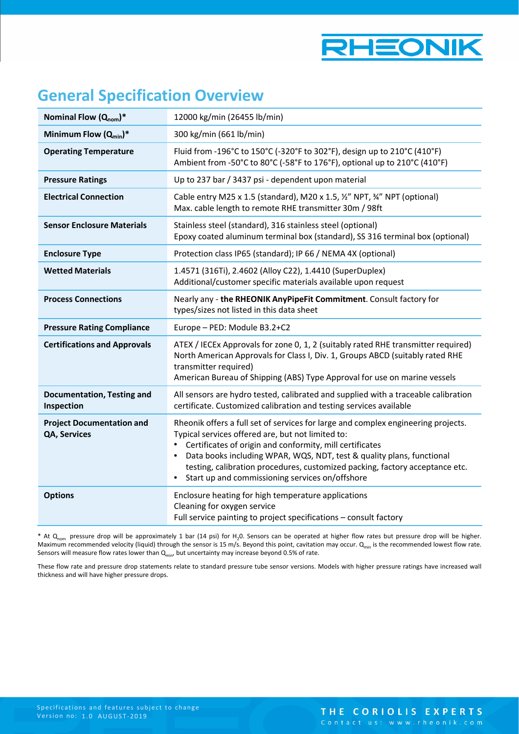

## **General Specification Overview**

| Nominal Flow $(Q_{nom})^*$                       | 12000 kg/min (26455 lb/min)                                                                                                                                                                                                                                                                                                                                                                                    |
|--------------------------------------------------|----------------------------------------------------------------------------------------------------------------------------------------------------------------------------------------------------------------------------------------------------------------------------------------------------------------------------------------------------------------------------------------------------------------|
| Minimum Flow $(Q_{min})^*$                       | 300 kg/min (661 lb/min)                                                                                                                                                                                                                                                                                                                                                                                        |
| <b>Operating Temperature</b>                     | Fluid from -196°C to 150°C (-320°F to 302°F), design up to 210°C (410°F)<br>Ambient from -50°C to 80°C (-58°F to 176°F), optional up to 210°C (410°F)                                                                                                                                                                                                                                                          |
| <b>Pressure Ratings</b>                          | Up to 237 bar / 3437 psi - dependent upon material                                                                                                                                                                                                                                                                                                                                                             |
| <b>Electrical Connection</b>                     | Cable entry M25 x 1.5 (standard), M20 x 1.5, 1/2" NPT, 3/4" NPT (optional)<br>Max. cable length to remote RHE transmitter 30m / 98ft                                                                                                                                                                                                                                                                           |
| <b>Sensor Enclosure Materials</b>                | Stainless steel (standard), 316 stainless steel (optional)<br>Epoxy coated aluminum terminal box (standard), SS 316 terminal box (optional)                                                                                                                                                                                                                                                                    |
| <b>Enclosure Type</b>                            | Protection class IP65 (standard); IP 66 / NEMA 4X (optional)                                                                                                                                                                                                                                                                                                                                                   |
| <b>Wetted Materials</b>                          | 1.4571 (316Ti), 2.4602 (Alloy C22), 1.4410 (SuperDuplex)<br>Additional/customer specific materials available upon request                                                                                                                                                                                                                                                                                      |
| <b>Process Connections</b>                       | Nearly any - the RHEONIK AnyPipeFit Commitment. Consult factory for<br>types/sizes not listed in this data sheet                                                                                                                                                                                                                                                                                               |
| <b>Pressure Rating Compliance</b>                | Europe - PED: Module B3.2+C2                                                                                                                                                                                                                                                                                                                                                                                   |
| <b>Certifications and Approvals</b>              | ATEX / IECEx Approvals for zone 0, 1, 2 (suitably rated RHE transmitter required)<br>North American Approvals for Class I, Div. 1, Groups ABCD (suitably rated RHE<br>transmitter required)<br>American Bureau of Shipping (ABS) Type Approval for use on marine vessels                                                                                                                                       |
| <b>Documentation, Testing and</b><br>Inspection  | All sensors are hydro tested, calibrated and supplied with a traceable calibration<br>certificate. Customized calibration and testing services available                                                                                                                                                                                                                                                       |
| <b>Project Documentation and</b><br>QA, Services | Rheonik offers a full set of services for large and complex engineering projects.<br>Typical services offered are, but not limited to:<br>Certificates of origin and conformity, mill certificates<br>Data books including WPAR, WQS, NDT, test & quality plans, functional<br>testing, calibration procedures, customized packing, factory acceptance etc.<br>Start up and commissioning services on/offshore |
| <b>Options</b>                                   | Enclosure heating for high temperature applications<br>Cleaning for oxygen service<br>Full service painting to project specifications - consult factory                                                                                                                                                                                                                                                        |

\* At  $Q_{nom}$  pressure drop will be approximately 1 bar (14 psi) for H<sub>2</sub>0. Sensors can be operated at higher flow rates but pressure drop will be higher. Maximum recommended velocity (liquid) through the sensor is 15 m/s. Beyond this point, cavitation may occur. Q<sub>min</sub> is the recommended lowest flow rate. Sensors will measure flow rates lower than  $Q_{min}$ , but uncertainty may increase beyond 0.5% of rate.

These flow rate and pressure drop statements relate to standard pressure tube sensor versions. Models with higher pressure ratings have increased wall thickness and will have higher pressure drops.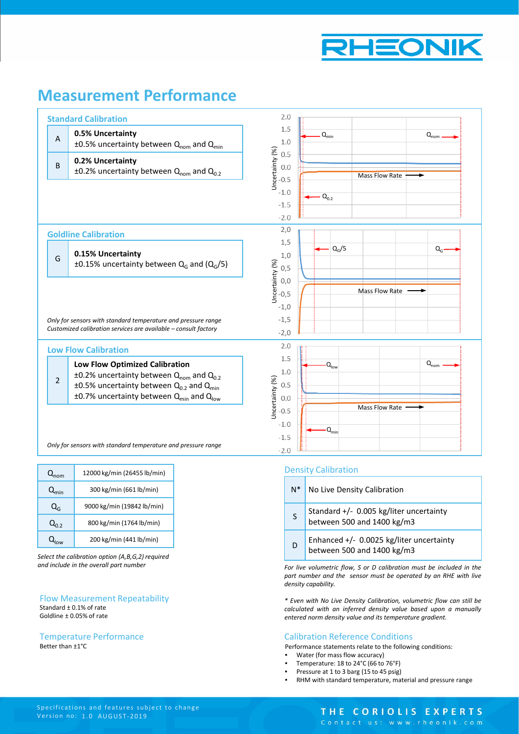

### **Measurement Performance**



| $Q_{nom}$        | 12000 kg/min (26455 lb/min) |
|------------------|-----------------------------|
| $Q_{\text{min}}$ | 300 kg/min (661 lb/min)     |
| $Q_{G}$          | 9000 kg/min (19842 lb/min)  |
| $Q_{0.2}$        | 800 kg/min (1764 lb/min)    |
|                  | 200 kg/min (441 lb/min)     |

*Select the calibration option (A,B,G,2) required and include in the overall part number*

#### Flow Measurement Repeatability Standard ± 0.1% of rate Goldline ± 0.05% of rate

#### Better than ±1°C Temperature Performance

#### Density Calibration

| $N^*$ | No Live Density Calibration                                             |
|-------|-------------------------------------------------------------------------|
| S     | Standard $+/-$ 0.005 kg/liter uncertainty<br>between 500 and 1400 kg/m3 |
| D     | Enhanced +/- 0.0025 kg/liter uncertainty<br>between 500 and 1400 kg/m3  |

*For live volumetric flow, S or D calibration must be included in the part number and the sensor must be operated by an RHE with live density capability.*

*\* Even with No Live Density Calibration, volumetric flow can still be calculated with an inferred density value based upon a manually entered norm density value and its temperature gradient.*

#### Calibration Reference Conditions

Performance statements relate to the following conditions:

- Water (for mass flow accuracy)
- Temperature: 18 to 24°C (66 to 76°F)
- Pressure at 1 to 3 barg (15 to 45 psig)
- RHM with standard temperature, material and pressure range

#### THE CORIOLIS EXPERTS

Contact us: www.rheonik.com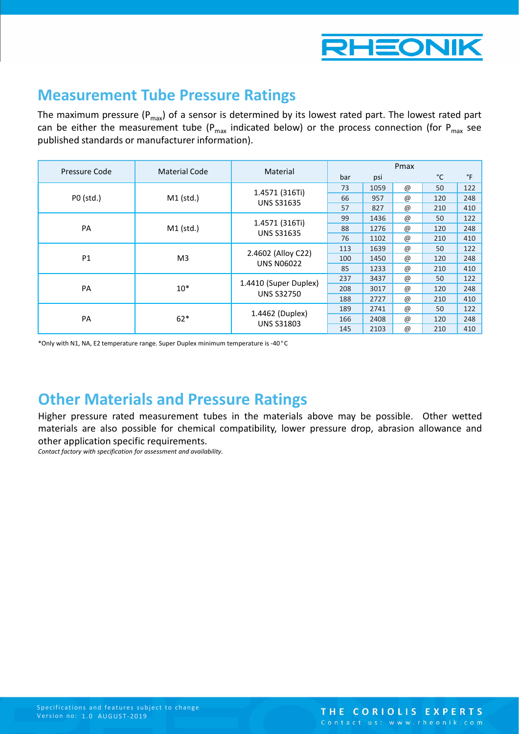

### **Measurement Tube Pressure Ratings**

The maximum pressure ( $P_{max}$ ) of a sensor is determined by its lowest rated part. The lowest rated part can be either the measurement tube ( $P_{max}$  indicated below) or the process connection (for  $P_{max}$  see published standards or manufacturer information).

|               | <b>Material Code</b> | Material                                   | Pmax |      |                 |     |     |
|---------------|----------------------|--------------------------------------------|------|------|-----------------|-----|-----|
| Pressure Code |                      |                                            | bar  | psi  |                 | °C  | °F  |
|               |                      | 1.4571 (316Ti)                             | 73   | 1059 | $^\copyright$   | 50  | 122 |
| P0 (std.)     | $M1$ (std.)          | <b>UNS S31635</b>                          | 66   | 957  | $^{\copyright}$ | 120 | 248 |
|               |                      |                                            | 57   | 827  | $^{\copyright}$ | 210 | 410 |
| PA            | $M1$ (std.)          | 1.4571 (316Ti)<br><b>UNS S31635</b>        | 99   | 1436 | $^{\copyright}$ | 50  | 122 |
|               |                      |                                            | 88   | 1276 | $^{\copyright}$ | 120 | 248 |
|               |                      |                                            | 76   | 1102 | $^{\copyright}$ | 210 | 410 |
| P1            | M <sub>3</sub>       | 2.4602 (Alloy C22)<br><b>UNS N06022</b>    | 113  | 1639 | $^{\copyright}$ | 50  | 122 |
|               |                      |                                            | 100  | 1450 | $^{\copyright}$ | 120 | 248 |
|               |                      |                                            | 85   | 1233 | @               | 210 | 410 |
| <b>PA</b>     | $10*$                | 1.4410 (Super Duplex)<br><b>UNS S32750</b> | 237  | 3437 | $^{\copyright}$ | 50  | 122 |
|               |                      |                                            | 208  | 3017 | $^\copyright$   | 120 | 248 |
|               |                      |                                            | 188  | 2727 | $^{\copyright}$ | 210 | 410 |
|               | $62*$                | 1.4462 (Duplex)<br><b>UNS S31803</b>       | 189  | 2741 | $^{\copyright}$ | 50  | 122 |
| PA            |                      |                                            | 166  | 2408 | $^{\copyright}$ | 120 | 248 |
|               |                      |                                            | 145  | 2103 | $^{\copyright}$ | 210 | 410 |

\*Only with N1, NA, E2 temperature range. Super Duplex minimum temperature is -40°C

### **Other Materials and Pressure Ratings**

Higher pressure rated measurement tubes in the materials above may be possible. Other wetted materials are also possible for chemical compatibility, lower pressure drop, abrasion allowance and other application specific requirements.

*Contact factory with specification for assessment and availability.*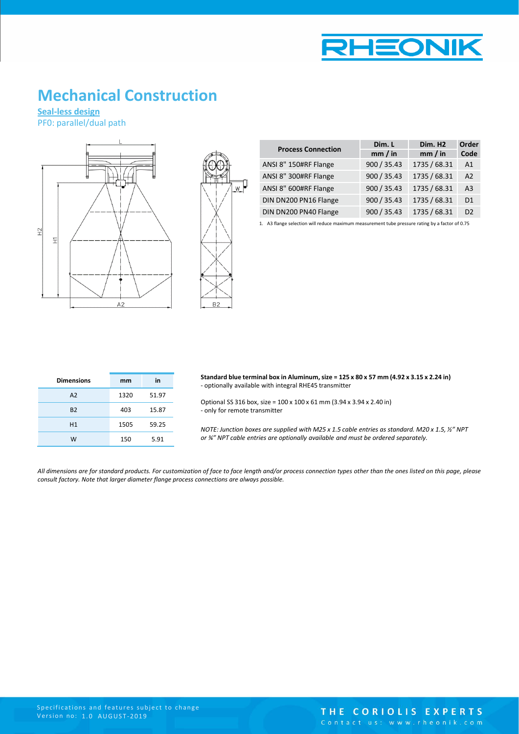

### **Mechanical Construction**

**Seal-less design** PF0: parallel/dual path





| <b>Process Connection</b> | Dim. L      | Dim. H <sub>2</sub> | Order          |  |
|---------------------------|-------------|---------------------|----------------|--|
|                           | mm / in     | mm / in             | Code           |  |
| ANSI 8" 150#RF Flange     | 900 / 35.43 | 1735 / 68.31        | A <sub>1</sub> |  |
| ANSI 8" 300#RF Flange     | 900 / 35.43 | 1735 / 68.31        | A <sub>2</sub> |  |
| ANSI 8" 600#RF Flange     | 900 / 35.43 | 1735 / 68.31        | A <sub>3</sub> |  |
| DIN DN200 PN16 Flange     | 900 / 35.43 | 1735 / 68.31        | D1             |  |
| DIN DN200 PN40 Flange     | 900 / 35.43 | 1735 / 68.31        | D <sub>2</sub> |  |

1. A3 flange selection will reduce maximum measurement tube pressure rating by a factor of 0.75

| <b>Dimensions</b> | mm   | in    |
|-------------------|------|-------|
| A2                | 1320 | 51.97 |
| <b>B2</b>         | 403  | 15.87 |
| H1                | 1505 | 59.25 |
| W                 | 150  | 5.91  |

**Standard blue terminal box in Aluminum, size = 125 x 80 x 57 mm (4.92 x 3.15 x 2.24 in)** - optionally available with integral RHE45 transmitter

Optional SS 316 box, size = 100 x 100 x 61 mm (3.94 x 3.94 x 2.40 in) - only for remote transmitter

*NOTE: Junction boxes are supplied with M25 x 1.5 cable entries as standard. M20 x 1.5, ½" NPT or ¾" NPT cable entries are optionally available and must be ordered separately.*

All dimensions are for standard products. For customization of face to face length and/or process connection types other than the ones listed on this page, please *consult factory. Note that larger diameter flange process connections are always possible.*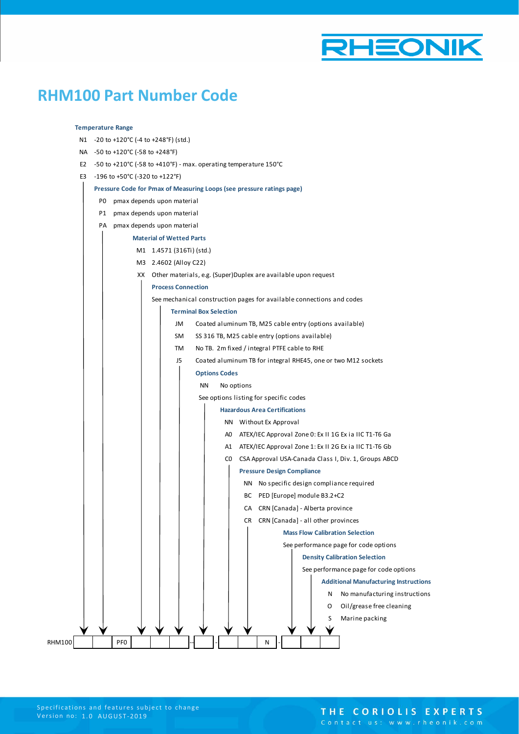

### **RHM100 Part Number Code**

#### **Temperature Range**

- N1 -20 to +120°C (-4 to +248°F) (std.)
- NA -50 to +120°C (-58 to +248°F)
- E2 -50 to +210°C (-58 to +410°F) max. operating temperature 150°C
- E3 -196 to +50°C (-320 to +122°F)

#### **Pressure Code for Pmax of Measuring Loops (see pressure ratings page)**

- P0 pmax depends upon material
- P1 pmax depends upon material
- PA pmax depends upon material
	- **Material of Wetted Parts**
		- M1 1.4571 (316Ti) (std.)
		- M3 2.4602 (Alloy C22)
			- XX Other materials, e.g. (Super)Duplex are available upon request
		- **Process Connection**

See mechanical construction pages for available connections and codes

#### **Terminal Box Selection**

- JM Coated aluminum TB, M25 cable entry (options available)
- SM SS 316 TB, M25 cable entry (options available)
- TM No TB. 2m fixed / integral PTFE cable to RHE
- J5 Coated aluminum TB for integral RHE45, one or two M12 sockets

#### **Options Codes**

#### NN No options

See options listing for specific codes

- **Hazardous Area Certifications**
- NN Without Ex Approval
- A0 ATEX/IEC Approval Zone 0: Ex II 1G Ex ia IIC T1-T6 Ga
- A1 ATEX/IEC Approval Zone 1: Ex II 2G Ex ia IIC T1-T6 Gb
- C0 CSA Approval USA-Canada Class I, Div. 1, Groups ABCD

#### **Pressure Design Compliance**

- NN No specific design compliance required
	- BC PED [Europe] module B3.2+C2
- CA CRN [Canada] Alberta province
	- CR CRN [Canada] all other provinces

**Mass Flow Calibration Selection**

See performance page for code options **Density Calibration Selection**

See performance page for code options

**Additional Manufacturing Instructions** N No manufacturing instructions O Oil/grease free cleaning S Marine packing

RHM100 | | | PF0 | | | | | | | | | | | | | N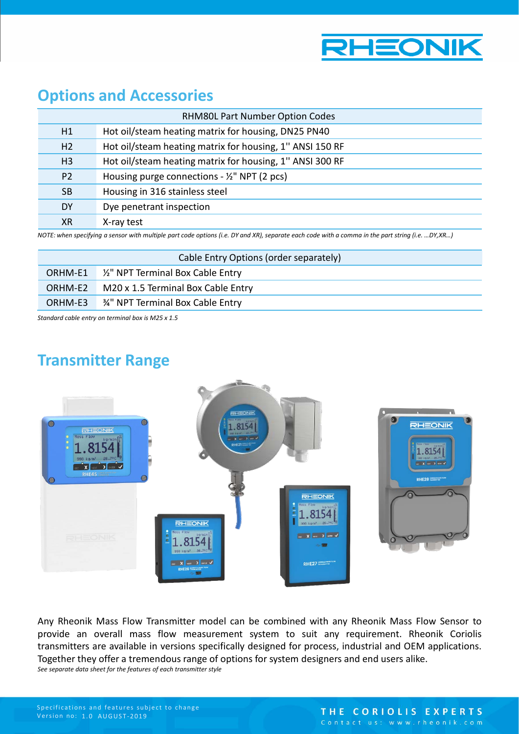

### **Options and Accessories**

| Hot oil/steam heating matrix for housing, DN25 PN40<br>H1<br>Hot oil/steam heating matrix for housing, 1" ANSI 150 RF<br>H <sub>2</sub><br>Hot oil/steam heating matrix for housing, 1" ANSI 300 RF<br>H <sub>3</sub><br>Housing purge connections - 1/2" NPT (2 pcs)<br>P <sub>2</sub><br>Housing in 316 stainless steel<br><b>SB</b> | <b>RHM80L Part Number Option Codes</b> |  |  |
|----------------------------------------------------------------------------------------------------------------------------------------------------------------------------------------------------------------------------------------------------------------------------------------------------------------------------------------|----------------------------------------|--|--|
|                                                                                                                                                                                                                                                                                                                                        |                                        |  |  |
|                                                                                                                                                                                                                                                                                                                                        |                                        |  |  |
|                                                                                                                                                                                                                                                                                                                                        |                                        |  |  |
|                                                                                                                                                                                                                                                                                                                                        |                                        |  |  |
|                                                                                                                                                                                                                                                                                                                                        |                                        |  |  |
| Dye penetrant inspection<br><b>DY</b>                                                                                                                                                                                                                                                                                                  |                                        |  |  |
| ХR<br>X-ray test                                                                                                                                                                                                                                                                                                                       |                                        |  |  |

*NOTE: when specifying a sensor with multiple part code options (i.e. DY and XR), separate each code with a comma in the part string (i.e. …DY,XR…)*

| Cable Entry Options (order separately) |                                                     |  |
|----------------------------------------|-----------------------------------------------------|--|
|                                        | ORHM-E1 <sup>1/2</sup> NPT Terminal Box Cable Entry |  |
| ORHM-E2                                | M20 x 1.5 Terminal Box Cable Entry                  |  |
| ORHM-E3                                | 34" NPT Terminal Box Cable Entry                    |  |

*Standard cable entry on terminal box is M25 x 1.5* 

## **Transmitter Range**



Any Rheonik Mass Flow Transmitter model can be combined with any Rheonik Mass Flow Sensor to provide an overall mass flow measurement system to suit any requirement. Rheonik Coriolis transmitters are available in versions specifically designed for process, industrial and OEM applications. Together they offer a tremendous range of options for system designers and end users alike. *See separate data sheet for the features of each transmitter style*